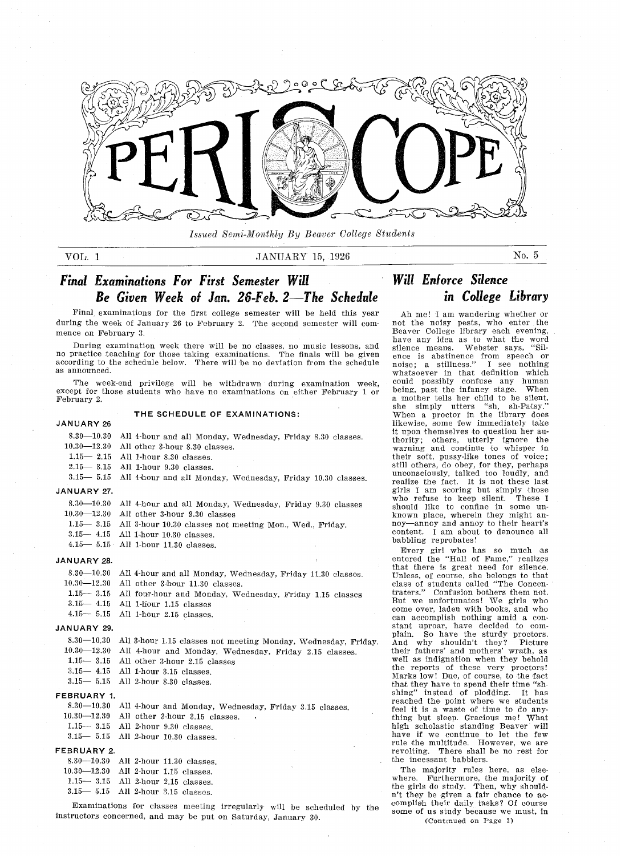

Issued Semi-Monthly By Beaver College Students

### VOL 1 JANUARY 15, 1926 No. 5

#### Final Examinations For First Semester Will Be Given Week of Jan. 26-Feb. 2-The Schedule in College Library Will Enforce Silence

Final examinations for the first college semester will be held this year during the week of January 26 to February 2. The second semester will commence on February 3.

During examination week there will be no classes, no music lessons, and no practice teaching for those taking examinations The finals will be given according to the schedule below. There will be no deviation from the schedule as announced

The week-end privilege will be withdrawn during examination week except for those students who have no examinations on either February 1 or February 2.

#### JANUARY 26

#### THE SCHEDULE OF EXAMINATIONS:

|             | 8.30—10.30 All 4-hour and all Monday, Wednesday, Friday 8.30 classes.  |
|-------------|------------------------------------------------------------------------|
|             | $10.30 - 12.30$ All other 3-hour 8.30 classes.                         |
|             | $1.15 - 2.15$ All 1-hour 8.30 classes.                                 |
|             | $2.15 - 3.15$ All 1-hour 9.30 classes.                                 |
|             | 3.15 - 5.15 All 4-hour and all Monday, Wednesday, Friday 10.30 classes |
| JANUARY 27. |                                                                        |
|             | $8.30-10.30$ All 4-hour and all Monday, Wednesday, Friday 9.30 classes |

| 8.30-10.30 All 4-hour and all Monday, Wednesday, Friday 9.30 classes |  |
|----------------------------------------------------------------------|--|
| $10.30 - 12.30$ All other 3-hour 9.30 classes                        |  |

- $1.15 3.15$  All 3-hour 10.30 classes not meeting Mon., Wed., Friday.
- $3.15 4.15$  All 1-hour  $10.30$  classes
- $4.15 5.15$  All 1-hour 11.30 classes

#### JANUARY 28

| 8.30-10.30 All 4-hour and all Monday, Wednesday, Friday 11.30 classes. |
|------------------------------------------------------------------------|
| 10.90 10.90 ATT - LL - 0.1 - 11.00 1                                   |

- $10.30 12.30$  All other 3-hour  $11.30$  classes
- 1.15 3.15 All four-hour and Monday, Wednesday, Friday 1.15 classes
- $3.15 4.15$  All 1-hour 1.15 classes
- $4.15 5.15$  All 1-hour 2.15 classes

### JANUARY 29

- 8.30—10.30 All 3-hour 1.15 classes not meeting Monday, Wednesday, Friday
- 10.30-12.30 All 4-hour and Monday, Wednesday, Friday 2.15 classes
- $1.15 3.15$  All other 3-hour 2.15 classes
- $3.15 4.15$  All 1-hour  $3.15$  classes
- $3.15 5.15$  All 2-hour  $8.30$  classes

#### FEBRUARY 1.

- 8.30—10.30 All 4-hour and Monday, Wednesday, Friday 3.15 classes
- $10.30 12.30$  All other 3-hour 3.15 classes
- All 2-hour 9.30 classes  $1.15 - 3.15$
- $3.15 5.15$  All 2-hour 10.30 classes

### FEBRUARY 2.

| $8.30 - 10.30$ All 2-hour 11.30 classes. |  |  |
|------------------------------------------|--|--|
| $10.30 - 12.30$ All 2-hour 1.15 classes. |  |  |
| $1.15 - 3.15$ All 2-hour 2.15 classes.   |  |  |
| $3.15 - 5.15$ All 2-hour 3.15 classes.   |  |  |

Examinations for classes meeting irregularly will be scheduled by the instructors concerned, and may be put on Saturday, January 30.

not the noisy pests, who enter the Beaver College library each evening have any idea as to what the word<br>silence means. Webster says, "Silence is abstinence from speech or<br>noise; a stillness." I see nothing whatsoever in that definition whic could possibly confuse any huma being, past the infancy stage. When a mother tells her child to be silent<br>she simply utters "sh, sh-Patsy. she simply utters "sh, sh-Patsy."<br>When a proctor in the library does likewise, some few immediately take it upon themselves to question her au thority; others, utterly ignore the warning and continue to whisper in their soft, pussy-like tones of voice; still others, do obey, for they, perhaps unconsciously, talked too loudly, and realize the fact. It is not these last girls am scoring but simply those who refuse to keep silent These shoald like to confine in some un known place, wherein they might annoy-annoy and annoy to their heart' content. I am about to denounce all babbling reprobates

Ah me! I am wandering whether or

Every girl who has so much as<br>entered the "Hall of Fame," realizes that there is great need for silence. Unless, of course, she belongs to that class of students called "The Concer traters." Confusion bothers them not But we unfortunates! We girls who come over, laden with books, and who can accomplish nothing amid a constant uproar, have decided to complain. So have the sturdy proctors. plain. So have the sturdy proctors.<br>And why shouldn't they? Picture why shouldn't they? their fathers' and mothers' wrath, as well as indignation when they behold the reports of these very proctors<br>Marks low! Due, of course, to the fac marks low: Due, or course, to the fact<br>that they have to spend their time "shshing" instead of plodding. It has reached the point where we students feel it is a waste of time to do anything but sleep. Gracious me! What high scholastic standing Beaver will have if we continue to let the few rule the multitude. However, we are revolting. There shall be no rest for the incessant babblers

The majority rules here, as elsewhere. Furthermore, the majority of<br>the girls do study. Then, why should-<br>n't they be given a fair chance to accomplish their daily tasks? Of course some of us study because we must, in (Continued on Page 3)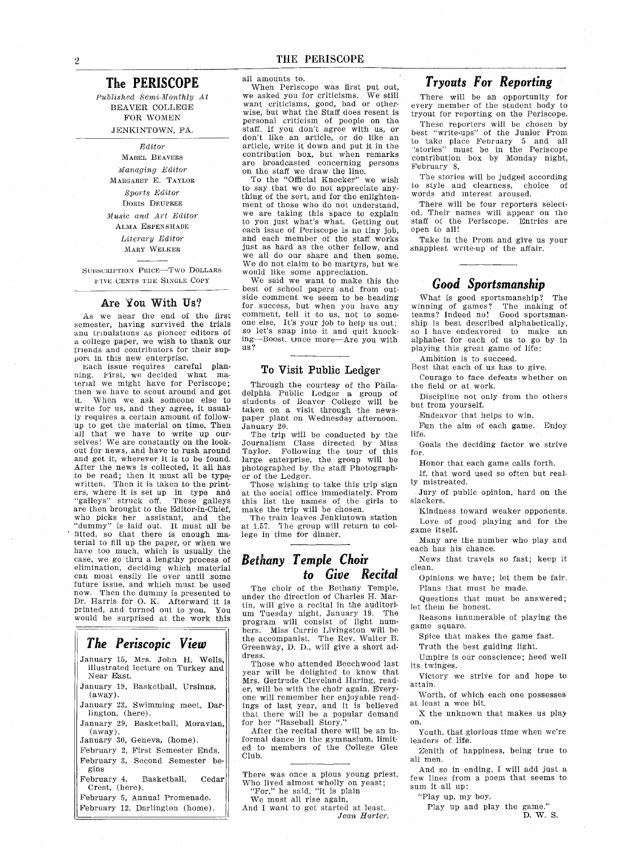### The PERISCOPE

Published Semi-Monthly At BEAVER COLLEGE FOR WOMEN JENKINTOWN, PA.

#### Editor

MABEL BEAVERS Managing Editor MARGARET E. TAYLOR Sports Editor DORIS DEUPREE Music and Art Editor ALMA ESPENSHADE Literary Editor MARY WELKER

SUBSCRIPTION PRICE-TWO DOLLARS IVE CENTS TilE SINGLE COPY

#### Are You With Us

As we near the end of the first semester, having survived the trials anu trioulations as pioneer editors of a college paper, we wish to thank our friends and contributors for their sup port in this new enterprise

Each issue requires careful plan ning First we decided what ma terial we might have for Periscope; then we have to scout around and get it. When we ask someone else to write for us, and they agree, it usually requires a certain amount of followup to get the material on time. Then all that we have to write up our selves! We are constantly on the lookout for news, and have to rush around and get it, wherever it is to be found. After the news is collected, it all has to be read; then it must all be typewritten. Then it is taken to the print- $\frac{1}{100}$  where it is set up in type and "galleys" struck off. These galleys are then brought to the Editor-in-Chief. who picks her assistant, and the "dummy" is laid out. It must all be fitted, so that there is enough ma-<br>terial to fill up the paper, or when we have too much, which is usually the case, we go thru a lengthy process of elimination, deciding which material can most easily lie over until some future issue, and which must be used now. Then the dummy is presented to Dr. Harris for O. K. Afterward it is printed, and turned out to you. You would be surprised at the work this

### The Periscopic View

- January 15, Mrs. John H. Wells, illustrated lecture on Turkey and Near East
- January 19. Basketball, Ursinus.  $($ away $).$
- January 23, Swimming meet, Darlington, (here).
- January 29, Basketball, Moravian,  $(away).$
- January 30, Geneva, (home).
- February 2, First Semester Ends. February 3, Second Semester begins
- February 4, Basketball, Cedar Crest, (here).
- February 5. Annual Promenade. February 12, Darlington (home).

all amounts to

When Periscope was first put out, we asked you for criticisms. We still want criticisms, good, bad or otherwise, but what the Staff does resent is personal criticism of people on the staff. If you don't agree with us, or don't like an article, or do like an article, write it down and put it in the contribution box, but when remarks are broadcasted concerning persons on the staff we draw the line

To the "Official Knocker" we wish to say that we do not appreciate any thing of the sort, and for the enlightenment of those who do not understand we are taking this space to explain to you just what's what. Getting out each issue of Periscope is no tiny job and each member of the staff works just as hard as the other fellow, and we all do our share and then some. We do not claim to be martyrs, but we would like some appreciation

We said we want to make this the best of school papers and from out side comment we seem to be heading for success, but when you have any comment, tell it to us, not to someone else. It's your job to help us out; so let's snap into it and quit knocking-Boost. Once more-Are you with us

#### To Visit Public Ledger

Through the courtesy of the Phila delphia Public Ledger a group of students of Beaver College will be taken on a visit through the newspaper plant on Wednesday afternoon. January 20

The trip will be conducted by the Journalism Class directed by Miss Taylor. Following the tour of this large enterprise, the group will be photographed by the staff Photograph er of the Ledger

Those wishing to take this trip sign at the social office immediately. From this list the names of the girls to make the trip will be chosen.

The train leaves Jenkintown station at 1.57. The group will return to college in time for dinner

### Bethany Temple Choir to Give Recital

The choir of the Bethany Temple under the direction of Charles H. Martin, will give a recital in the auditorium Tuesday night, January 19. The program will consist of light numbers. Miss Carrie Livingston will be the accompanist. The Rev. Walter Greenway, D. D., will give a short address

Those who attended Beechwood last year will be delighted to know that Mrs. Gertrude Cleveland Haring, reader, will be with the choir again. Everyone will remember her enjoyable read ings of last year, and it is believed that there will be a popular demand<br>for her "Baseball Story."

After the recital there will be an informal dance in the gymnasium limit ed to members of the College Glee Club

There was once a pious young priest, Who lived almost wholly on yeast "For," he said, "it is plain

We must all rise again And I want to get started at least. Jean Harter.

### Tryouts For Reporting

There will be an opportunity for every member of the student body to tryout for reporting on the Periscope

These reporters will be chosen by best "write-ups" of the Junior Prom<br>to take place February 5 and all<br>"stories" must be in the Periscope "stories" must be in the Periscope contribution box by Monday night, February 8.

The stories will be judged according to style and clearness, choice of words and interest aroused

There will be four reporters select ed. Their names will appear on the staff of the Periscope. Entries are open to all

Take in the Prom and give us your snappiest write-up of the affair

### Good Sportsmanship

What is good sportsmanship? The<br>inning of games? The making of winning of games? The making of<br>teams? Indeed no! Good sportsmanteams? Indeed no! ship is best described alphabetically so I have endeavored to make an alphabet for each of us to go by in playing this great game of life

Ambition is to succeed

Best that each of us has to give

Courage to face defeats whether on the field or at work

Discipline not only from the others but from yourself

Endeavor that helps to win.

Fun the aim of each game. Enjoy life

Goals the deciding factor we strive for

Honor that each game calls forth

If, that word used so often but really mistreated

Jury of public opinion, hard on the slackers

Kindness toward weaker opponents Love of good playing and for the game itself

Many are the number who play and each has his chance

News that travels so fast; keep it clean

Opinions we have: let them be fair. Plans that must be made

Questions that must be answered; let them be honest

Reasons innumerable of playing the game square

Spice that makes the game fast

Truth the best guiding light.

Umpire is our conscience; heed well its twinges

Victory we strive for and hope to attain

Worth, of which each one possesses at least a wee bit.

X the unknown that makes us play on

Youth, that glorious time when we're leaders of life.

Zenith of happiness, being true to all men

And so in ending, I will add just a few lines from a poem that seems to sum it all up

"Play up, my boy,

Play up and play the game."<br>D. W. S.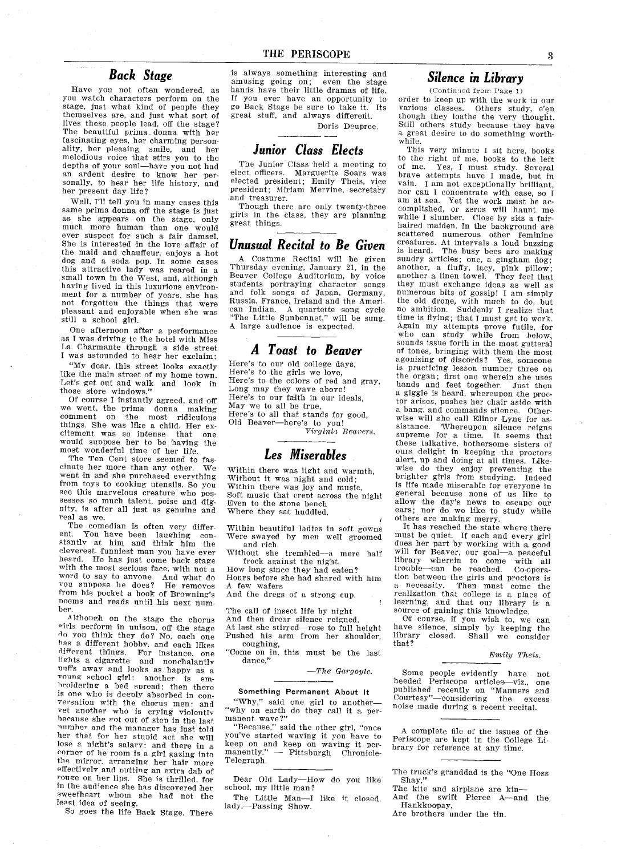### Back Stage

Have you not often wondered, as you watch characters perform on the stage, just what kind of people they themselves are, and just what sort of lives these people lead, off the stage? The beautiful prima donna with her fascinating eyes, her charming personality, her pleasing smile, and her melodious voice that stirs you to the depths of your soul-have you not had an ardent desire to know her per sonally, to hear her life history, and her present day life

Well, I'll tell you in many cases this same prima donna off the stage is just as she appears on the stage, only much more human than one would ever suspect for such a fair damsel. She is interested in the love affair of the maid and chauffeur, enjoys a hot dog and a soda pop. In some cases this attractive lady was reared in small town in the West, and, although having lived in this luxurious environment for a number of years, she has not forgotten the things that were pleasant and enjoyable when she was still a school girl.

One afternoon after a performance as I was driving to the hotel with Miss La Charmante through a side street I was astounded to hear her exclaim:

"My dear, this street looks exactly like the main street of my home town. Let's get out and walk and look in those store windows."<br>Of course I instantly agreed, and off

we went, the prima donna making<br>comment on the most ridiculous the most ridiculous things. She was like a child. Her excitement was so intense that one would suppose her to be having the most wonderful time of her life

The Ten Cent store seemed to fascinate her more than any other. We cinate her more than any other. We went in and she purchased everything from toys to cooking utensils. So you<br>see this marvelous creature who possesses so much talent, poise and dignity is after all just as genuine and real as we

The comedian is often very differ-<br>ent. You have been laughing con-You have been laughing constantly at him and think him the cleverest funniest man you have ever heard. He has just come back stage with the most serious face, with not a word to say to anyone. And what do vou suppose he does? He removes from his pocket a book of Browning's noems and reads until his next number.

Although on the stage the chorus riris uerform in unison off the stage do you think they do? No, each one has a different hobby, and each likes different things. For instance, one lights a cigarette and nonchalant buffs away and looks as happy as a<br>voung school girl: another is emvoung school girl: another is em-<br>hroidering a bed spread; then there is one who is deenly absorbed in con versation with the chorus men: and vet another who is crying yiolentlv because she rot out of sten in the last number and the manager has just told her that for her stupid act she will lose a night's salary: and there in a corner of he room is a girl gazing into the mirror, arranging her hair more effectively and nutting an extra dab of rouge on her lips. She is thrilled for in the audience she has discovered her sweetheart whom she had not the least idea of seeing

So goes the life Back Stage There

is always something interesting and amusing going on; even the stage hands have their little dramas of life If you ever have an opportunity to go Back Stage be sure to take it Its great stuff, and always different.

Doris Deupree

## Junior Class Elects

The Junior Class held a meeting to elect officers. Marguerite Soars was<br>elected president; Emily Theis, vice president; Miriam Mervine, secretary and treasurer

Though there are only twenty-three girls in the class, they are planning great things

### Unusual Recital to Be Given

Costume Recital will be given Thursday evening, January 21, in the Beaver College Auditorium, by voice students portraying character songs and folk songs of Japan, Germany<br>Russia, France, Ireland and the Ameri can Indian. A quartette song cycle<br>"The Little Sunbonnet," will be sung A large audience is expected.

### Toast to Beaver

Here's to our old college days, Here's to the girls we love,<br>Here's to the colors of red and gray Long may they wave above Here's to our faith in our ideals, May we to all be true Here's to all that stands for good. Old Beaver-here's to you!

Virginia Beavers.

# Les Miserables

Within there was light and warmth,<br>Without it was night and cold;<br>Within there was joy and music, Soft music that crept across the night Even to the stone bench Where they sat huddled.

Within beautiful ladies in soft gowns Were swayed by mea well groomed and rich

Without she trembled--a mere half frock against the night

How long since they had eaten? Hours before she had shared with him A few wafers

And the dregs of a strong cup.

The call of insect life by night And then drear silence reigned At last she stirred-rose to full height Pushed his arm from her shoulder coughing

"Come on in, this must be the last dance."

 $- The\; Gargoyle.$ 

#### Something Permanent About It

"Why," said one girl to another-"why on earth do they call it a per-<br>manent wave?"

"Because," said the other girl, "once you've started waving it you have to keep on and keep on waving it per<br>manently." -- Pittsburgh Chronicle-Telegraph

Dear Old Lady-How do you like school, my little man?

The Little Man-I like it closed, lady.--Passing Show.

### Silence in Library

 $(Continued from Page 1)$ 

order to keep up with the work in our various classes. Others study, e'en though they loathe the very thought. Still others study because they have great desire to do something worth while

This very minute I sit here, books to the right of me, books to the left<br>of me. Yes, I must study Several Yes, I must study. Several brave attempts have I made, but in vain. I am not exceptionally brilliant, nor can I concentrate with ease, so I am at sea. Yet the work must be ac complished, or zeros will haunt me while I slumber. Close by sits a fairhaired maiden. In the background are scattered numerous other feminine creatures. At intervals a loud buzzing<br>is heard. The busy bees are making The busy bees are making sundry articles; one, a gingham dog; another, a fluffy, lacy, pink pillow<br>another a linen towel. They feel that they must exchange ideas as well as numerous bits of gossip! I am simply the old drone, with much to do, but no ambition. Suddenly I realize that<br>time is flying; that I must get to work Again my attempts prove futile, for who can study while from below sounds issue forth in the most gutteral of tones, bringing with them the most<br>agonizing of discords? Yes, someone agonizing of discords? is practicing lesson number three on the organ; first one wherein she uses hands and feet together. Just then a giggle is heard, whereupon the proctor arises pushes her chair aside with a bang, and commands silence. Otherwise will she call Elinor Lyne for as sistance Whereupon silence reigns supreme for a time. It seems that these talkative, bothersome sisters of ours delight in keeping the proctors alert, up and doing at all times. Likewise do they enjoy preventing the brighter girls from studying Indeed is life made miserable for everyone in general because none of us like to allow the day's news to escape our ears; nor do we like to study while others are making merry

It has reached the state where there must be quiet. If each and every girl does her part by working with a good will for Beaver, our goal-a peaceful library wherein to come with all<br>trouble—can be reached. Co-opera tion between the girls and proctors is<br>a necessity. Then must come the Then must come the realization that college is a place of learning, and that our library is a<br>source of gaining this knowledge.

source of gaining this knowledge.<br>
Of course, if you wish to, we can<br>
have silence, simply by keeping the<br>
library closed. Shall we consider<br>
that?

#### Emily Theis

Some people evidently have not heeded Periscope articles-viz., one published recently on "Manners and Courtesy"—considering the exces noise made during a recent recital.

complete file of the issues of the Periscope are kept in the College Li brary for reference at any time

The truck's granddad is the "One Hoss Shay,"<br>The kite and airplane are kin-

And the swift Pierce A—and the Hankkoopay

Are brothers under the tin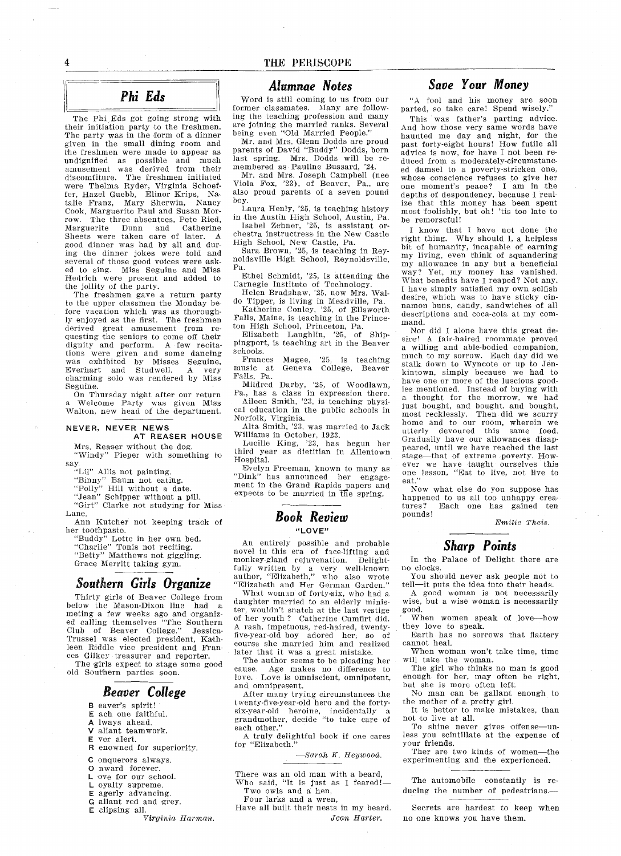The Phi Eds got going strong with their initiation party to the freshment The party was in the form of a dinner given in the small dining room and the freshmen were made to appear as undignified as possible and much amusement was derived from their discomfiture. The freshmen initiated were Thelma Ryder, Virginia Schoefreiter Hazel Guebb, Elinor Krips, Na<br>talie Franz, Mary Sherwin, Nancy Cook Marguerite Paul and Susan Mor row. The three absentees, Pete Ried, Marguerite Dunn and Catherin<br>Sheets were taken care of later. 1 good dinner was had by all and dur ing the dinner jokes were told and several of those good voices were ask ed to sing. Miss Seguine and Miss Hedrich were present and added to the jollity of the party

The freshmen gave a return party to the upper classmen the Monday be fore vacation which was as thorough ly enjoyed as the first. The freshmen derived great amusement from re questing the seniors to come off their dignity and perform. A few recitations were given and some dancing was exhibited by Misses Seguine Everhart and Studwell. A very charmtng solo was rendered by Miss Seguine.

On Thursday night after our return Welcome Party was given Miss Walton, new head of the department.

#### NEVER, NEVER NEWS AT REASER HOUSE

# Mrs. Reaser without the dog

"Windy" Pieper with something to say.<br>"Lil" Allis not painting

"Binny" Baum not eating

"Polly" Hill without a date.<br>"Jean" Schipper without a pill.<br>"Girt" Clarke not studying for Mis

Lane

- Ann Kutcher not keeping track of her toothpaste
	- "Buddy" Lotte in her own bed<br>"Charlie" Tonis not reciting. "Betty" Matthews not giggling Grace Merritt taking gym

## Southern Girls Organize

Thirty girls of Beaver College from below the Mason.Dixon line had meting a few weeks ago and organi<br>ed calling themselves "The Souther Club of Beaver College." Jessica-Trussel was elected president, Kathleen Riddle vice president and Fran ces Gilkey treasurer and reporter The girls expect to stage some good

old Southern parties soon.

### Beaver College

- **B** eaver's spirit!
- ach one faithful lways ahead
- aliant teamwork
- ver alert
- R enowned for superiority.
- C onquerors always.
- O nward forever.
- L ove for our school.
- L oyalty supreme.
- agerly advancing
- G allant red and grey.
- E clipsing all.
	- Virginia Harman.

### Alumnae Notes

Word is still coming to us from our former classmates. Many are follow ing the teaching profession and many are joining the married ranks. Several are joining the married ranks. Several

Mr. and Mrs. Glenn Dodds are proud parents of David "Buddy" Dodds, born<br>last spring. Mrs. Dodds will be remembered as Pauline Bussard,  $24$ .

Mr. and Mrs. Joseph Campbell (nee Mr. and Mrs. Joseph Campbell (nee<br>Viola Fox, '23), of Beaver, Pa., are<br>also proud parents of a seven pound boy

Laura Henly, '25, is teaching history in the Austin High School, Austin, Pa. Isabel Zehner, '25, is assistant orchestra instructress in the New Castle

High School, New Castle, Pa Sara Brown, '25, is teaching in Rey

noldsville High School, Reynoldsville, Pa

Ethel Schmidt, '25, is attending the Carnegie Institute of Technology.<br>Helen Bradshaw, 25, now Mrs. Wal

do Tipper, is living in Meadville, Pa Katherine Conley, 25, of Ellswort Falls, Maine, is teaching in the Prince ton High School, Princeton, Pa.

Elizabeth Laughlin, '25, of Shippingport, is teaching art in the Beaver schools

Frances Magee, '25, is teaching music at Geneva College, Beaver Falls, Pa.

Mildred Darby, '25, of Woodlawn, Pa., has a class in expression there Aileen Smith, '23, is teaching physical education in the public schools in

Norfolk, Virginia.<br>Alta Smith, '23, was married to Jac

Williams in October, 192

Lucille King, 23, has begun her Lucille King, '23, has begun her<br>third year as dietitian in Allentown Hospital

Evelyn Freeman, known to many as "Dink" has announced her engagement in the Grand Rapids papers and expects to be married in ffie spring

### Book Review "LOVE"

An entirely possible and probable novel in this era of face-lifting and monkey-gland rejuvenation. fully written by a very well-known<br>author, "Elizabeth," who also wrot "Elizabeth and Her German Garden."

What woman of forty-six, who had a daughter married to an elderly minis ter, wouldn't snatch at the last vestige of her youth ? Catherine Cumfirt did. A rash, impetuous, red-haired, twentyfive-year-old boy adored her, so of course she married him and realize later that it was a great mistake.

The author seems to be pleading her cause Age makes no difference to love. Love is omniscient, omnipotent, and omnipresent

After many trying circumstances the twenty-five-year-old hero and the fortysix-year-old heroine, incidentally a<br>grandmother, decide "to take care of each other."

truly delightful book if one cares for "Elizabeth

 $-$ Sarah K. Heywood.

- There was an old man with a beard, Who said, "It is just as I feared!-Two owls and a hen,
- Four larks and a wren,

Have all built their nests in my beard Jean Harter

### Save Your Money

"A fool and his money are soon parted, so take care! Spend wisely.

This was father's parting advice. And how those very same words have haunted me day and night, for the past forty-eight hours! How futile all advice is now, for have I not been reduced from a moderately-circumstanced damsel to a poverty-stricken one, whose conscience refuses to give her one moment's peace? I am in the depths of despondency, because I realize that this money has been spent most foolishly, but oh! 'tis too late to<br>be remorseful!

I know that I have not done the right thing. Why should  $I$ , a helpless bit of humanity, incapable of earning my living, even think of squanderi my allowance in any but a benefici<br>way? Yet, my money has vanishe What benefits have I reaped? Not any. have simply satisfied my own selfish desire, which was to have sticky cinnamon buns, candy, sandwiches of all descriptions and coca-cola at my com mand.

Nor did I alone have this great desire! A fair-haired roommate proved willing and able-bodied companion much to my sorrow Each day did we stalk down to Wyncote or op to Jen kintown, simply because we had to<br>have one or more of the luscious good ies mentioned. Instead of buying with thought for the morrow, we had just bought, and bought, and bought, most recklessly. Then did we scurry home and to our room, wherein we utterly devoured this same food Gradually have onr allowances disap peared, until we have reached the last stage-that of extreme poverty. However we have taught ourselves this<br>one lesson, "Eat to live, not live to<br>eat."

Now what else do you suppose has happened to us all too unhappy crea-<br>tures? Each one has gained ten pounds

Emilie Theis.

# Sharp Points

In the Palace of Delight there are no clocks

You should never ask people not to tell-it puts the idea into their heads.

good woman is not necessarily wise, but a wise woman is necessarily good

When women speak of love-how they love to speak.

Earth has no sorrows that flattery cannot heal

When woman won't take time, time will take the woman

The girl who thinks no man is good enough for her, may often be right,

but she is more often left No man can be gallant enough to

the mother of a pretty girl. It is better to make mistakes, than not to live at all

To shine never gives offense-u less you scintillate at the expense of

your friends Ther are two kinds of women-the

experimenting and the experienced

The automobile constantly is re ducing the number of pedestrians

Secrets are hardest to keep when no one knows you have them

4

Phi Eds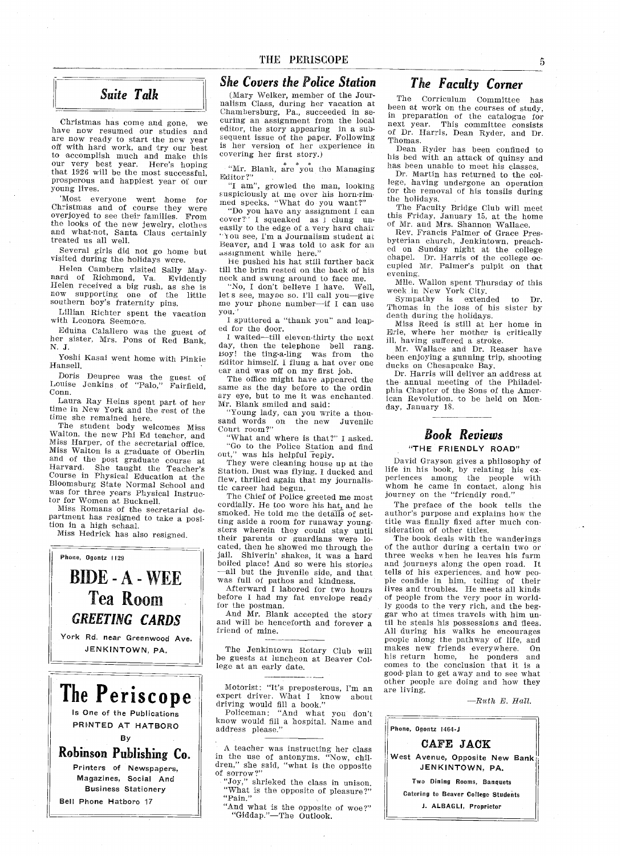# Suite Talk

Christmas has come and gone, we have now resumed our studies and are now ready to start the new year off with hard work, and try our best to accomplish much and make this our very best year. Here's hoping that 1926 will be the most successful, prosperous and happiest year of our young lives

Most everyone went home for Christmas and of course they were overjoyed to see their families. From the looks of the new jewelry, clothes and what-not, Santa Claus certainly treated us all well

Several girls did not go home but visited during the holidays were

Helen Cambern visited Sally Maynard of Richmond, Va. Evidently Helen received a big rush, as she is<br>now supporting one of the little southern boy's fraternity pins.

Lillian Richter spent the vacation with Leonora Seemore

Eduina Calallero was the guest of her sister, Mrs. Pons of Red Bank, N. J.

Yoshi Kasai went home with Pinkie Hansell.

Doris Deupree was the guest of<br>Louise Jenkins of "Palo," Fairfield,<br>Conn.

Laura Ray Heins spent part of her time in New York and the rest of the time she remained here

The student body welcomes Miss Walton, the new Phi Ed teacher, and Miss Harper, of the secretarial office. Miss Walton is graduate of Oberlin and of the post graduate course at Harvard. She taught the Teacher' Course in Physical Education at the Bloomsburg State Normal School and was for three years Physical Instruc tor for Women at Bucknell.

Miss Romans of the secretarial de partment has resigned to take a position in a high schaal.

Miss Hedrick has also resigned.

# Phone, Ogontz 1129 BIDE-A-WEE Tea Room GREETING CARDS York Rd. near Greenwood Ave. JENKINTOWN, PA.

The Periscope Is One of the Publications PRINTED AT HATBORO By Robinson Publishing Co Printers of Newspapers Magazines, Social And Business Stationery

Bell Phone Hatboro 17

### She Covers the Police Station

(Mary Welker, member of the Journalism Class, during her vacation at<br>Chambersburg, Pa., succeeded in se curing an assignment from the local editor, the story appearing in a subsequent issue of the paper. Following is her version of her experience in covering her first story

"Mr. Blank, are you the Managing Editor?"

"I am", growled the man, looking suspiciously at me over his horn-rim med specks. "What do you want?"

"Do you have any assignment I can cover?" I squeaked as I clung uneasily to the edge of a very hard chair You see, I'm a Journalism student at Beaver, and I was told to ask for an assignment while here.'

he pushed his hat still further back till the brim rested on the back of his neck and swung around to face me

noon and swung around to face me.<br>
"No, I don't believe I have. Well<br>
let's see, mayoe so. I'll call you—give me your phone number-if I can use you

I sputtered a "thank you" and leaped for the door

I waited-till eleven-thirty the next day, then the telephone bell rang. noy the ting-a-ling was from the Editor himself. I flung a hat over one ear and was off on my first job

The office might have appeared the same as the day before to the ordin ary eye, but to me it was enchanted Mr. Blank smiled and said

'Young lady, can you write a thousand words on the new Juvenile

"What and where is that?" I asked. Go to the Police Station and find out," was his helpful reply.

They were cleaning house up at the Station. Dust was flying. I ducked and flew, thrilled again that my journalistic career had begun

The Chief of Police greeted me most cordially. He too wore his hat, and he smoked. He told me the details of setting aside a room for runaway youngsters wherein they could stay until their parents or guardians were lo cated, then he showed me through the jail. Shiverin' shakes, it was a hard boiled place! And so were his stories all but the juvenile side, and that was full of pathos and kindness.

Afterward I labored for two hours before I had my fat envelope ready for the postman.

And Mr. Blank accepted the story and will be henceforth and forever a friend of mine

The Jenkintown Rotary Club will be guests at luncheon at Beaver Col lege at an early date

Motorist: "It's preposterous, I'm an expert driver. What I know about driving would fill a book.

Policeman: "And what you don't know would fill a hospital. Name and address please

A teacher was instructing her class<br>in the use of antonyms. "Now, child<br>dren," she said, "what is the opposite of sorrow?"<br>of sorrow?"<br>"Joy," shrieked the class in uniso

"What is the opposite of pleasure?"

"And what is the opposite of woe? Giddap."—The Outlook

### The Faculty Corner

The Corriculum Committee has been at work on the courses of study,<br>in preparation of the catalogue for next year. This committee consists<br>of Dr. Harris, Dean Ryder, and Dr Thomas

Dean Ryder has been confined to his bed with an attack of quinsy and has been unable to meet his classes.

Dr. Martin has returned to the college, having undergone an operation for the removal of his tonsils during the holidays

The Faculty Bridge Club will meet this Friday, January 15, at the home of Mr. and Mrs. Shannon Wallace

Rev. Francis Palmer of Grace Presbyterian church, Jenkintown, preached on Sunday night at the college chapel. Dr. Harris of the college occupied Mr. Palmer's pulpit on that evening Mile Wallon spent Thursday of this

week in New York City

Sympathy is extended to Dr Thomas in the loss of his sister by death during the holidays

Miss Reed is still at her home in Erie, where her mother is critically ill, having suffered a stroke.

mating sancred a stroke.<br>Mr. Wallace and Dr. Reaser have been enjoying a gunning trip, shooting ducks on Chesapeake Bay

Dr. Harris will deliver an address at the annual meeting of the Philadel phia Chapter of the Sons of the Amer ican Revolution, to be held on Monday, January 18.

# Book Reviews

#### "THE FRIENDLY ROAD"

David Grayson gives a philosophy of life in his book by relating his ex periences among the people with whom he came in contact, along his<br>journey on the "friendly road."

The preface of the book tells the author's purpose and explains how the title was finally fixed after much con sideration of other titles

The book deals with the wanderings of the author during a certain two or three weeks when he leaves his farm and journeys along the open road. It tells of his experiences, and how people confide in him, telling of their<br>ple confide in him, telling of their<br>lives and troubles. He meets all kinds of people from the very poor in world ly goods to the very rich, and the beggar who at times travels with him until he steals his possessions and flees. All during his walks he encourages people along the pathway of life, and makes new friends everywhere. On<br>his return home, he ponders and his return home, he ponders and comes to the conclusion that it is a good plan to get away and to see what other people are doing and how they are living

 $-Ruth E. Hall.$ 

Phone, Ogontz 1464-J

CAFE JACK West Avenue, Opposite New Bank JENKINTOWN, PA.

Two Dining Rooms, Banquets Catering to Beaver College Students

J. ALBAGLI, Proprietor